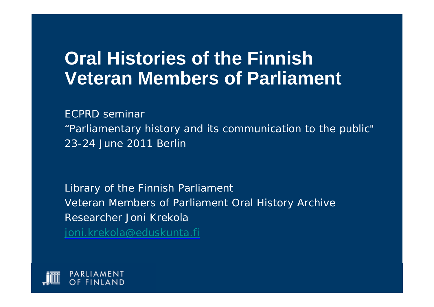#### **Oral Histories of the Finnish Veteran Members of Parliament**

*ECPRD seminar*

*"Parliamentary history and its communication to the public" 23-24 June 2011 Berlin*

*Library of the Finnish Parliament Veteran Members of Parliament Oral History Archive Researcher Joni Krekola [joni.krekola@eduskunta.fi](mailto:joni.krekola@eduskunta.fi)*

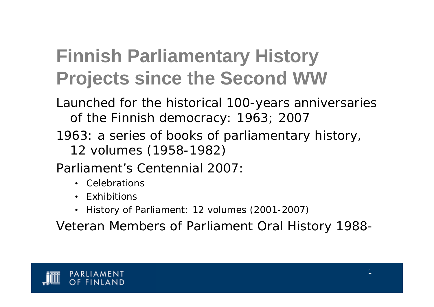# **Finnish Parliamentary History Projects since the Second WW**

- Launched for the historical 100-years anniversaries of the Finnish democracy: 1963; 2007
- 1963: a series of books of parliamentary history, 12 volumes (1958-1982)

Parliament's Centennial 2007:

- Celebrations
- Exhibitions
- History of Parliament: 12 volumes (2001-2007)

Veteran Members of Parliament Oral History 1988-

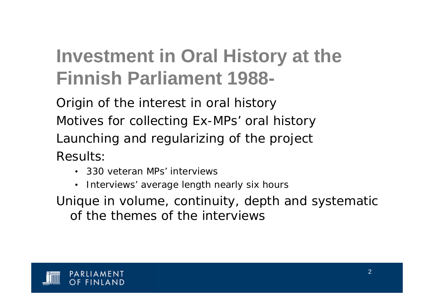# **Investment in Oral History at the Finnish Parliament 1988-**

Origin of the interest in oral history Motives for collecting Ex-MPs' oral history Launching and regularizing of the project Results:

- 330 veteran MPs' interviews
- Interviews' average length nearly six hours

Unique in volume, continuity, depth and systematic of the themes of the interviews

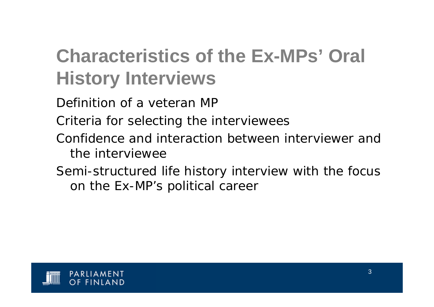# **Characteristics of the Ex-MPs' Oral History Interviews**

Definition of a veteran MP

Criteria for selecting the interviewees

- Confidence and interaction between interviewer and the interviewee
- Semi-structured life history interview with the focus on the Ex-MP's political career

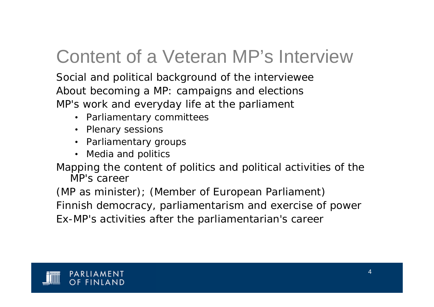### Content of a Veteran MP's Interview

Social and political background of the interviewee About becoming a MP: campaigns and elections MP's work and everyday life at the parliament

- Parliamentary committees
- Plenary sessions
- Parliamentary groups
- Media and politics

Mapping the content of politics and political activities of the MP's career

(MP as minister); (Member of European Parliament) Finnish democracy, parliamentarism and exercise of power Ex-MP's activities after the parliamentarian's career

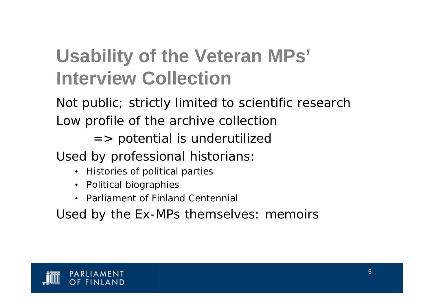# **Usability of the Veteran MPs' Interview Collection**

Not public; strictly limited to scientific research Low profile of the archive collection

 $\Rightarrow$  potential is underutilized

Used by professional historians:

- Histories of political parties
- Political biographies
- Parliament of Finland Centennial

Used by the Ex-MPs themselves: memoirs

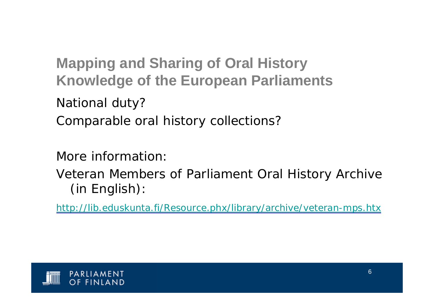**Mapping and Sharing of Oral History Knowledge of the European Parliaments**

National duty?

Comparable oral history collections?

More information:

Veteran Members of Parliament Oral History Archive (in English):

<http://lib.eduskunta.fi/Resource.phx/library/archive/veteran-mps.htx>